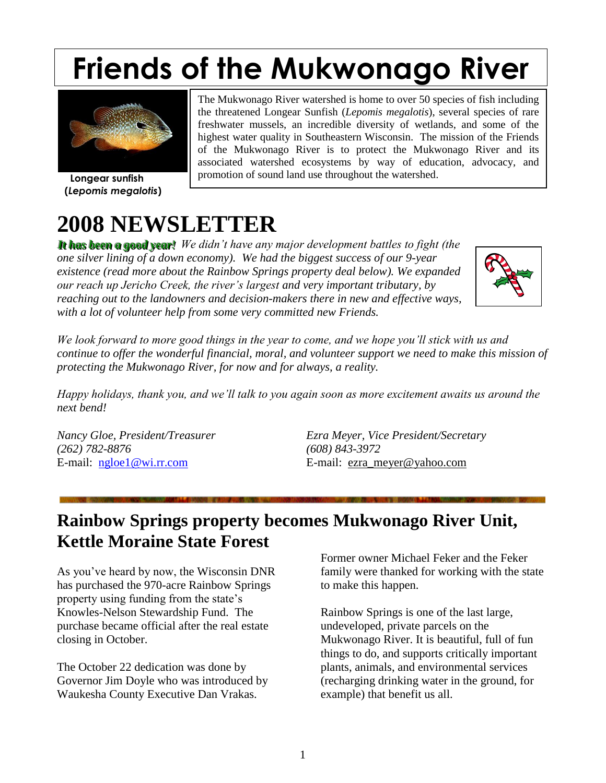# **Friends of the Mukwonago River**



 **Longear sunfish (***Lepomis megalotis***)**

The Mukwonago River watershed is home to over 50 species of fish including the threatened Longear Sunfish (*Lepomis megalotis*), several species of rare freshwater mussels, an incredible diversity of wetlands, and some of the highest water quality in Southeastern Wisconsin. The mission of the Friends of the Mukwonago River is to protect the Mukwonago River and its associated watershed ecosystems by way of education, advocacy, and promotion of sound land use throughout the watershed.

## **2008 NEWSLETTER**

It has been a good year! We didn't have any major development battles to fight (the *one silver lining of a down economy). We had the biggest success of our 9-year existence (read more about the Rainbow Springs property deal below). We expanded our reach up Jericho Creek, the river's largest and very important tributary, by reaching out to the landowners and decision-makers there in new and effective ways, with a lot of volunteer help from some very committed new Friends.* 



*We look forward to more good things in the year to come, and we hope you'll stick with us and continue to offer the wonderful financial, moral, and volunteer support we need to make this mission of protecting the Mukwonago River, for now and for always, a reality.*

*Happy holidays, thank you, and we'll talk to you again soon as more excitement awaits us around the next bend!* 

*(262) 782-8876 (608) 843-3972*

*Nancy Gloe, President/Treasurer Ezra Meyer, Vice President/Secretary* E-mail: [ngloe1@wi.rr.com](mailto:ngloe1@wi.rr.com) E-mail: ezra meyer@yahoo.com

### **Rainbow Springs property becomes Mukwonago River Unit, Kettle Moraine State Forest**

As you've heard by now, the Wisconsin DNR has purchased the 970-acre Rainbow Springs property using funding from the state's Knowles-Nelson Stewardship Fund. The purchase became official after the real estate closing in October.

The October 22 dedication was done by Governor Jim Doyle who was introduced by Waukesha County Executive Dan Vrakas.

Former owner Michael Feker and the Feker family were thanked for working with the state to make this happen.

Rainbow Springs is one of the last large, undeveloped, private parcels on the Mukwonago River. It is beautiful, full of fun things to do, and supports critically important plants, animals, and environmental services (recharging drinking water in the ground, for example) that benefit us all.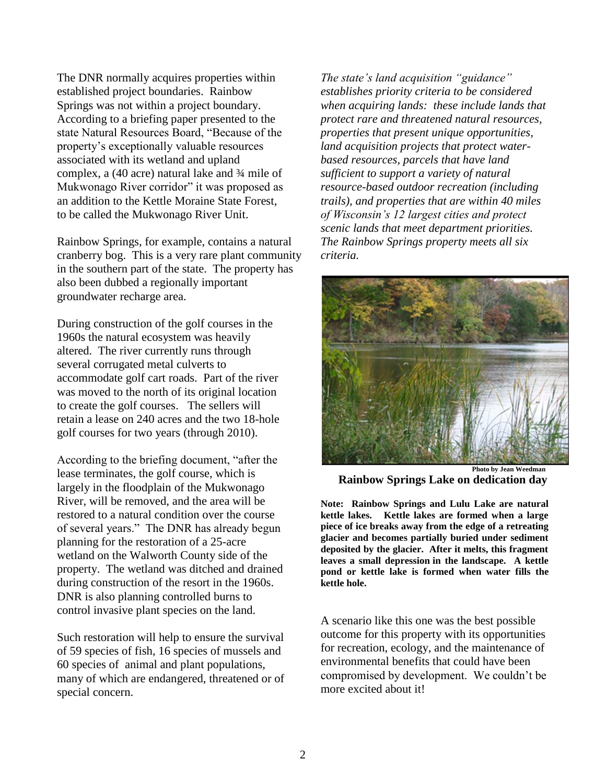The DNR normally acquires properties within established project boundaries. Rainbow Springs was not within a project boundary. According to a briefing paper presented to the state Natural Resources Board, "Because of the property's exceptionally valuable resources associated with its wetland and upland complex, a (40 acre) natural lake and ¾ mile of Mukwonago River corridor" it was proposed as an addition to the Kettle Moraine State Forest, to be called the Mukwonago River Unit.

Rainbow Springs, for example, contains a natural cranberry bog. This is a very rare plant community in the southern part of the state. The property has also been dubbed a regionally important groundwater recharge area.

During construction of the golf courses in the 1960s the natural ecosystem was heavily altered. The river currently runs through several corrugated metal culverts to accommodate golf cart roads. Part of the river was moved to the north of its original location to create the golf courses. The sellers will retain a lease on 240 acres and the two 18-hole golf courses for two years (through 2010).

According to the briefing document, "after the lease terminates, the golf course, which is largely in the floodplain of the Mukwonago River, will be removed, and the area will be restored to a natural condition over the course of several years." The DNR has already begun planning for the restoration of a 25-acre wetland on the Walworth County side of the property. The wetland was ditched and drained during construction of the resort in the 1960s. DNR is also planning controlled burns to control invasive plant species on the land.

Such restoration will help to ensure the survival of 59 species of fish, 16 species of mussels and 60 species of animal and plant populations, many of which are endangered, threatened or of special concern.

*The state's land acquisition "guidance" establishes priority criteria to be considered when acquiring lands: these include lands that protect rare and threatened natural resources, properties that present unique opportunities, land acquisition projects that protect waterbased resources, parcels that have land sufficient to support a variety of natural resource-based outdoor recreation (including trails), and properties that are within 40 miles of Wisconsin's 12 largest cities and protect scenic lands that meet department priorities. The Rainbow Springs property meets all six criteria.*



 **Photo by Jean Weedman Rainbow Springs Lake on dedication day**

**Note: Rainbow Springs and Lulu Lake are natural kettle lakes. Kettle lakes are formed when a large piece of ice breaks away from the edge of a retreating glacier and becomes partially buried under sediment deposited by the glacier. After it melts, this fragment leaves a small depression in the landscape. A kettle pond or kettle lake is formed when water fills the kettle hole.** 

A scenario like this one was the best possible outcome for this property with its opportunities for recreation, ecology, and the maintenance of environmental benefits that could have been compromised by development. We couldn't be more excited about it!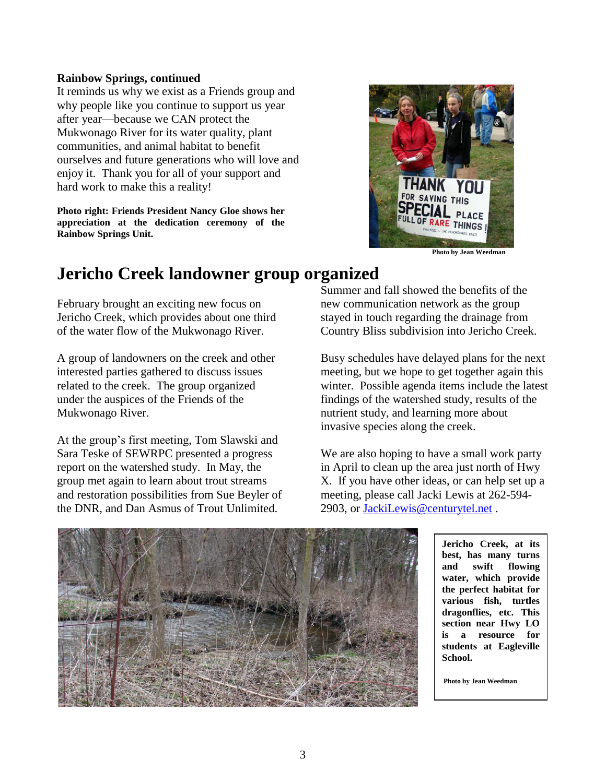#### **Rainbow Springs, continued**

It reminds us why we exist as a Friends group and why people like you continue to support us year after year—because we CAN protect the Mukwonago River for its water quality, plant communities, and animal habitat to benefit ourselves and future generations who will love and enjoy it. Thank you for all of your support and hard work to make this a reality!

**Photo right: Friends President Nancy Gloe shows her appreciation at the dedication ceremony of the Rainbow Springs Unit.**



 **Photo by Jean Weedman**

### **Jericho Creek landowner group organized**

February brought an exciting new focus on Jericho Creek, which provides about one third of the water flow of the Mukwonago River.

A group of landowners on the creek and other interested parties gathered to discuss issues related to the creek. The group organized under the auspices of the Friends of the Mukwonago River.

At the group's first meeting, Tom Slawski and Sara Teske of SEWRPC presented a progress report on the watershed study. In May, the group met again to learn about trout streams and restoration possibilities from Sue Beyler of the DNR, and Dan Asmus of Trout Unlimited.

Summer and fall showed the benefits of the new communication network as the group stayed in touch regarding the drainage from Country Bliss subdivision into Jericho Creek.

Busy schedules have delayed plans for the next meeting, but we hope to get together again this winter. Possible agenda items include the latest findings of the watershed study, results of the nutrient study, and learning more about invasive species along the creek.

We are also hoping to have a small work party in April to clean up the area just north of Hwy X. If you have other ideas, or can help set up a meeting, please call Jacki Lewis at 262-594- 2903, or [JackiLewis@centurytel.net](mailto:JackiLewis@centurytel.net) .



**Jericho Creek, at its best, has many turns and swift flowing water, which provide the perfect habitat for various fish, turtles dragonflies, etc. This section near Hwy LO is a resource for students at Eagleville School.**

**Photo by Jean Weedman**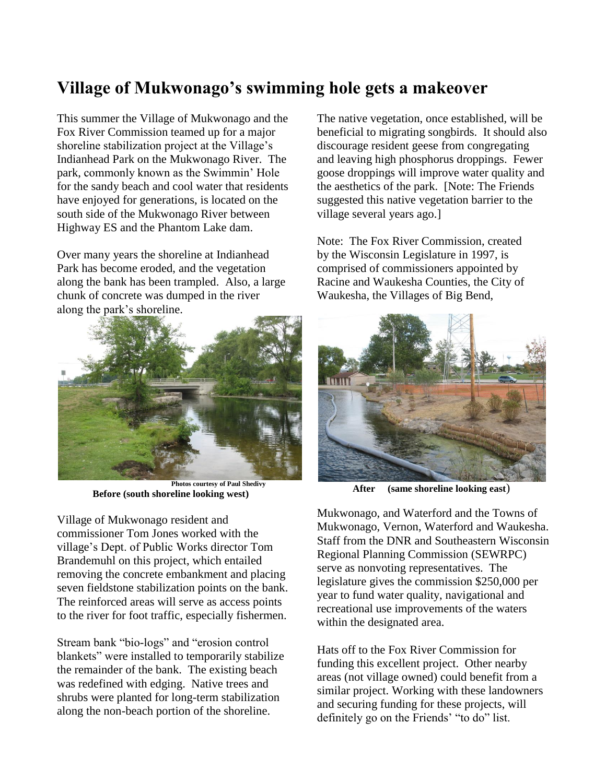### **Village of Mukwonago's swimming hole gets a makeover**

This summer the Village of Mukwonago and the Fox River Commission teamed up for a major shoreline stabilization project at the Village's Indianhead Park on the Mukwonago River. The park, commonly known as the Swimmin' Hole for the sandy beach and cool water that residents have enjoyed for generations, is located on the south side of the Mukwonago River between Highway ES and the Phantom Lake dam.

Over many years the shoreline at Indianhead Park has become eroded, and the vegetation along the bank has been trampled. Also, a large chunk of concrete was dumped in the river along the park's shoreline.



 **Photos courtesy of Paul Shedivy Before (south shoreline looking west)**

Village of Mukwonago resident and commissioner Tom Jones worked with the village's Dept. of Public Works director Tom Brandemuhl on this project, which entailed removing the concrete embankment and placing seven fieldstone stabilization points on the bank. The reinforced areas will serve as access points to the river for foot traffic, especially fishermen.

Stream bank "bio-logs" and "erosion control blankets" were installed to temporarily stabilize the remainder of the bank. The existing beach was redefined with edging. Native trees and shrubs were planted for long-term stabilization along the non-beach portion of the shoreline.

The native vegetation, once established, will be beneficial to migrating songbirds. It should also discourage resident geese from congregating and leaving high phosphorus droppings. Fewer goose droppings will improve water quality and the aesthetics of the park. [Note: The Friends suggested this native vegetation barrier to the village several years ago.]

Note: The Fox River Commission, created by the Wisconsin Legislature in 1997, is comprised of commissioners appointed by Racine and Waukesha Counties, the City of Waukesha, the Villages of Big Bend,



**After (same shoreline looking east**)

Mukwonago, and Waterford and the Towns of Mukwonago, Vernon, Waterford and Waukesha. Staff from the DNR and Southeastern Wisconsin Regional Planning Commission (SEWRPC) serve as nonvoting representatives. The legislature gives the commission \$250,000 per year to fund water quality, navigational and recreational use improvements of the waters within the designated area.

Hats off to the Fox River Commission for funding this excellent project. Other nearby areas (not village owned) could benefit from a similar project. Working with these landowners and securing funding for these projects, will definitely go on the Friends' "to do" list.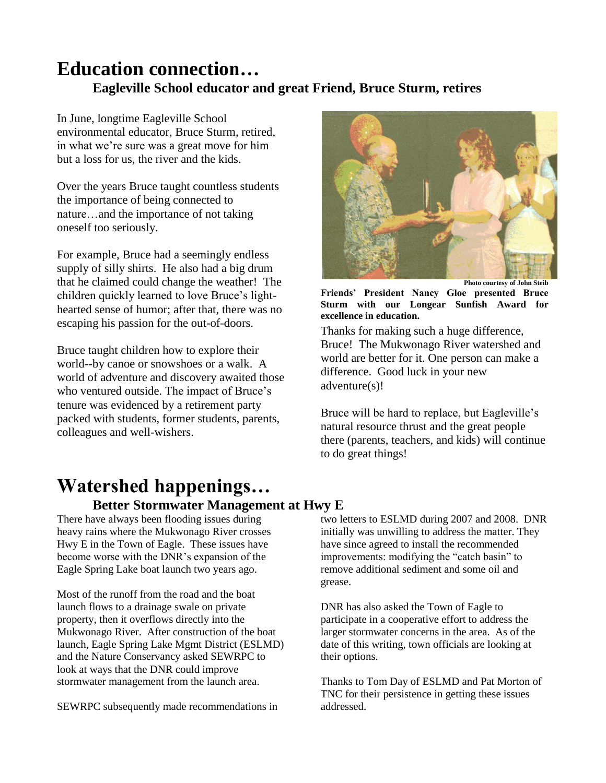### **Education connection… Eagleville School educator and great Friend, Bruce Sturm, retires**

In June, longtime Eagleville School environmental educator, Bruce Sturm, retired, in what we're sure was a great move for him but a loss for us, the river and the kids.

Over the years Bruce taught countless students the importance of being connected to nature…and the importance of not taking oneself too seriously.

For example, Bruce had a seemingly endless supply of silly shirts. He also had a big drum that he claimed could change the weather! The children quickly learned to love Bruce's lighthearted sense of humor; after that, there was no escaping his passion for the out-of-doors.

Bruce taught children how to explore their world--by canoe or snowshoes or a walk. A world of adventure and discovery awaited those who ventured outside. The impact of Bruce's tenure was evidenced by a retirement party packed with students, former students, parents, colleagues and well-wishers.



**Photo courtesy of John Steib**

**Friends' President Nancy Gloe presented Bruce Sturm with our Longear Sunfish Award for excellence in education.** 

Thanks for making such a huge difference, Bruce! The Mukwonago River watershed and world are better for it. One person can make a difference. Good luck in your new adventure(s)!

Bruce will be hard to replace, but Eagleville's natural resource thrust and the great people there (parents, teachers, and kids) will continue to do great things!

## **Watershed happenings…**

#### **Better Stormwater Management at Hwy E**

There have always been flooding issues during heavy rains where the Mukwonago River crosses Hwy E in the Town of Eagle. These issues have become worse with the DNR's expansion of the Eagle Spring Lake boat launch two years ago.

Most of the runoff from the road and the boat launch flows to a drainage swale on private property, then it overflows directly into the Mukwonago River. After construction of the boat launch, Eagle Spring Lake Mgmt District (ESLMD) and the Nature Conservancy asked SEWRPC to look at ways that the DNR could improve stormwater management from the launch area.

SEWRPC subsequently made recommendations in

two letters to ESLMD during 2007 and 2008. DNR initially was unwilling to address the matter. They have since agreed to install the recommended improvements: modifying the "catch basin" to remove additional sediment and some oil and grease.

DNR has also asked the Town of Eagle to participate in a cooperative effort to address the larger stormwater concerns in the area. As of the date of this writing, town officials are looking at their options.

Thanks to Tom Day of ESLMD and Pat Morton of TNC for their persistence in getting these issues addressed.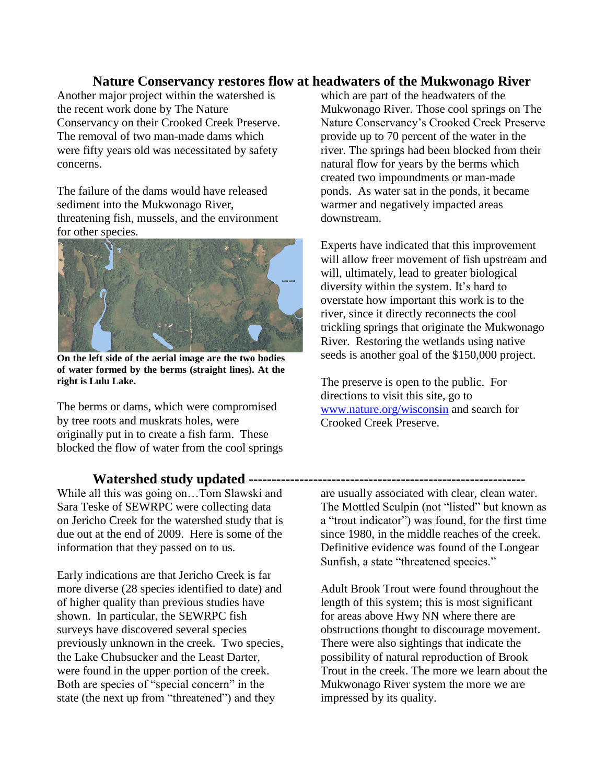#### **Nature Conservancy restores flow at headwaters of the Mukwonago River**

Another major project within the watershed is the recent work done by The Nature Conservancy on their Crooked Creek Preserve. The removal of two man-made dams which were fifty years old was necessitated by safety concerns.

The failure of the dams would have released sediment into the Mukwonago River, threatening fish, mussels, and the environment for other species.



**On the left side of the aerial image are the two bodies of water formed by the berms (straight lines). At the right is Lulu Lake.**

The berms or dams, which were compromised by tree roots and muskrats holes, were originally put in to create a fish farm. These blocked the flow of water from the cool springs

While all this was going on…Tom Slawski and Sara Teske of SEWRPC were collecting data on Jericho Creek for the watershed study that is due out at the end of 2009. Here is some of the information that they passed on to us.

Early indications are that Jericho Creek is far more diverse (28 species identified to date) and of higher quality than previous studies have shown. In particular, the SEWRPC fish surveys have discovered several species previously unknown in the creek. Two species, the Lake Chubsucker and the Least Darter, were found in the upper portion of the creek. Both are species of "special concern" in the state (the next up from "threatened") and they

which are part of the headwaters of the Mukwonago River. Those cool springs on The Nature Conservancy's Crooked Creek Preserve provide up to 70 percent of the water in the river. The springs had been blocked from their natural flow for years by the berms which created two impoundments or man-made ponds. As water sat in the ponds, it became warmer and negatively impacted areas downstream.

Experts have indicated that this improvement will allow freer movement of fish upstream and will, ultimately, lead to greater biological diversity within the system. It's hard to overstate how important this work is to the river, since it directly reconnects the cool trickling springs that originate the Mukwonago River. Restoring the wetlands using native seeds is another goal of the \$150,000 project.

The preserve is open to the public. For directions to visit this site, go to [www.nature.org/wisconsin](http://www.nature.org/wisconsin) and search for Crooked Creek Preserve.

#### **Watershed study updated ------------------------------------------------------------**

are usually associated with clear, clean water. The Mottled Sculpin (not "listed" but known as a "trout indicator") was found, for the first time since 1980, in the middle reaches of the creek. Definitive evidence was found of the Longear Sunfish, a state "threatened species."

Adult Brook Trout were found throughout the length of this system; this is most significant for areas above Hwy NN where there are obstructions thought to discourage movement. There were also sightings that indicate the possibility of natural reproduction of Brook Trout in the creek. The more we learn about the Mukwonago River system the more we are impressed by its quality.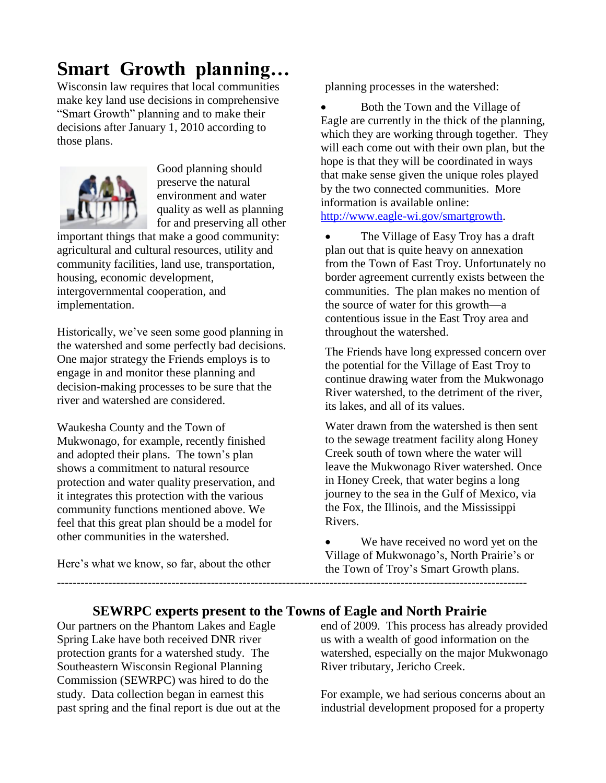### **Smart Growth planning…**

Wisconsin law requires that local communities make key land use decisions in comprehensive "Smart Growth" planning and to make their decisions after January 1, 2010 according to those plans.



Good planning should preserve the natural environment and water quality as well as planning for and preserving all other

important things that make a good community: agricultural and cultural resources, utility and community facilities, land use, transportation, housing, economic development, intergovernmental cooperation, and implementation.

Historically, we've seen some good planning in the watershed and some perfectly bad decisions. One major strategy the Friends employs is to engage in and monitor these planning and decision-making processes to be sure that the river and watershed are considered.

Waukesha County and the Town of Mukwonago, for example, recently finished and adopted their plans. The town's plan shows a commitment to natural resource protection and water quality preservation, and it integrates this protection with the various community functions mentioned above. We feel that this great plan should be a model for other communities in the watershed.

Here's what we know, so far, about the other

planning processes in the watershed:

 Both the Town and the Village of Eagle are currently in the thick of the planning, which they are working through together. They will each come out with their own plan, but the hope is that they will be coordinated in ways that make sense given the unique roles played by the two connected communities. More information is available online: [http://www.eagle-wi.gov/smartgrowth.](http://www.eagle-wi.gov/smartgrowth)

• The Village of Easy Troy has a draft plan out that is quite heavy on annexation from the Town of East Troy. Unfortunately no border agreement currently exists between the communities. The plan makes no mention of the source of water for this growth—a contentious issue in the East Troy area and throughout the watershed.

The Friends have long expressed concern over the potential for the Village of East Troy to continue drawing water from the Mukwonago River watershed, to the detriment of the river, its lakes, and all of its values.

Water drawn from the watershed is then sent to the sewage treatment facility along Honey Creek south of town where the water will leave the Mukwonago River watershed. Once in Honey Creek, that water begins a long journey to the sea in the Gulf of Mexico, via the Fox, the Illinois, and the Mississippi Rivers.

 We have received no word yet on the Village of Mukwonago's, North Prairie's or the Town of Troy's Smart Growth plans. -----------------------------------------------------------------------------------------------------------------------

### **SEWRPC experts present to the Towns of Eagle and North Prairie**

Our partners on the Phantom Lakes and Eagle Spring Lake have both received DNR river protection grants for a watershed study. The Southeastern Wisconsin Regional Planning Commission (SEWRPC) was hired to do the study. Data collection began in earnest this past spring and the final report is due out at the end of 2009. This process has already provided us with a wealth of good information on the watershed, especially on the major Mukwonago River tributary, Jericho Creek.

For example, we had serious concerns about an industrial development proposed for a property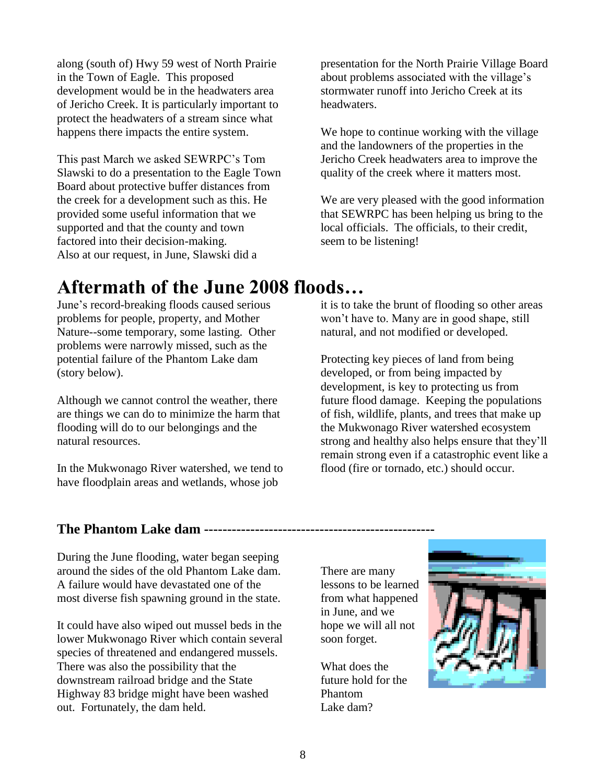along (south of) Hwy 59 west of North Prairie in the Town of Eagle. This proposed development would be in the headwaters area of Jericho Creek. It is particularly important to protect the headwaters of a stream since what happens there impacts the entire system.

This past March we asked SEWRPC's Tom Slawski to do a presentation to the Eagle Town Board about protective buffer distances from the creek for a development such as this. He provided some useful information that we supported and that the county and town factored into their decision-making. Also at our request, in June, Slawski did a

presentation for the North Prairie Village Board about problems associated with the village's stormwater runoff into Jericho Creek at its headwaters.

We hope to continue working with the village and the landowners of the properties in the Jericho Creek headwaters area to improve the quality of the creek where it matters most.

We are very pleased with the good information that SEWRPC has been helping us bring to the local officials. The officials, to their credit, seem to be listening!

### **Aftermath of the June 2008 floods…**

June's record-breaking floods caused serious problems for people, property, and Mother Nature--some temporary, some lasting. Other problems were narrowly missed, such as the potential failure of the Phantom Lake dam (story below).

Although we cannot control the weather, there are things we can do to minimize the harm that flooding will do to our belongings and the natural resources.

In the Mukwonago River watershed, we tend to have floodplain areas and wetlands, whose job

it is to take the brunt of flooding so other areas won't have to. Many are in good shape, still natural, and not modified or developed.

Protecting key pieces of land from being developed, or from being impacted by development, is key to protecting us from future flood damage. Keeping the populations of fish, wildlife, plants, and trees that make up the Mukwonago River watershed ecosystem strong and healthy also helps ensure that they'll remain strong even if a catastrophic event like a flood (fire or tornado, etc.) should occur.

### **The Phantom Lake dam ---------**

During the June flooding, water began seeping around the sides of the old Phantom Lake dam. A failure would have devastated one of the most diverse fish spawning ground in the state.

It could have also wiped out mussel beds in the lower Mukwonago River which contain several species of threatened and endangered mussels. There was also the possibility that the downstream railroad bridge and the State Highway 83 bridge might have been washed out. Fortunately, the dam held.

There are many lessons to be learned from what happened in June, and we hope we will all not soon forget.

What does the future hold for the Phantom Lake dam?

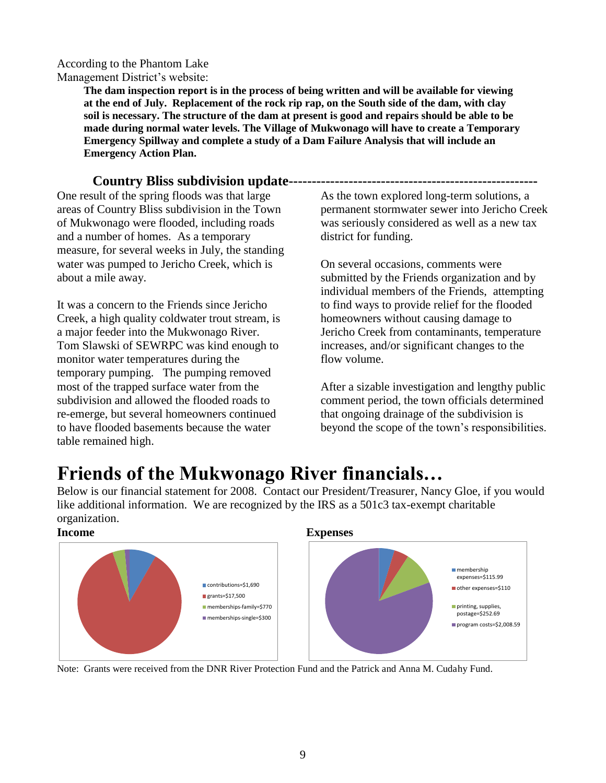According to the Phantom Lake

Management District's website:

**The dam inspection report is in the process of being written and will be available for viewing at the end of July. Replacement of the rock rip rap, on the South side of the dam, with clay soil is necessary. The structure of the dam at present is good and repairs should be able to be made during normal water levels. The Village of Mukwonago will have to create a Temporary Emergency Spillway and complete a study of a Dam Failure Analysis that will include an Emergency Action Plan.** 

#### **Country Bliss subdivision update------------------------------------------------------**

One result of the spring floods was that large areas of Country Bliss subdivision in the Town of Mukwonago were flooded, including roads and a number of homes. As a temporary measure, for several weeks in July, the standing water was pumped to Jericho Creek, which is about a mile away.

It was a concern to the Friends since Jericho Creek, a high quality coldwater trout stream, is a major feeder into the Mukwonago River. Tom Slawski of SEWRPC was kind enough to monitor water temperatures during the temporary pumping. The pumping removed most of the trapped surface water from the subdivision and allowed the flooded roads to re-emerge, but several homeowners continued to have flooded basements because the water table remained high.

As the town explored long-term solutions, a permanent stormwater sewer into Jericho Creek was seriously considered as well as a new tax district for funding.

On several occasions, comments were submitted by the Friends organization and by individual members of the Friends, attempting to find ways to provide relief for the flooded homeowners without causing damage to Jericho Creek from contaminants, temperature increases, and/or significant changes to the flow volume.

After a sizable investigation and lengthy public comment period, the town officials determined that ongoing drainage of the subdivision is beyond the scope of the town's responsibilities.

### **Friends of the Mukwonago River financials…**

Below is our financial statement for 2008. Contact our President/Treasurer, Nancy Gloe, if you would like additional information. We are recognized by the IRS as a 501c3 tax-exempt charitable organization.



#### **Income Expenses**



Note: Grants were received from the DNR River Protection Fund and the Patrick and Anna M. Cudahy Fund.